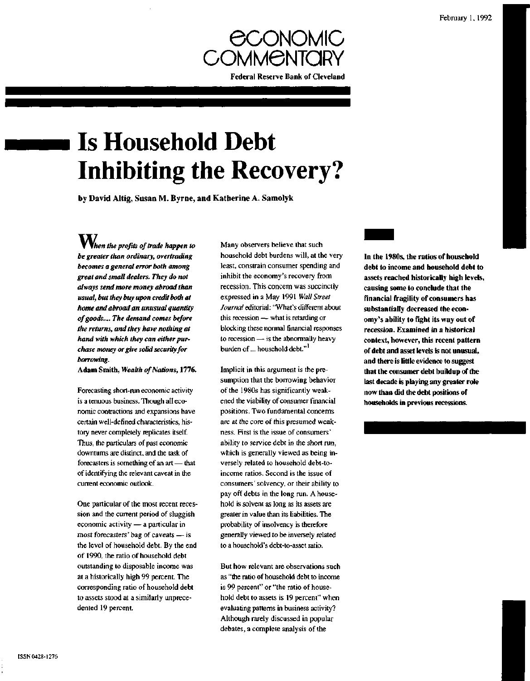

# **Is Household Debt Inhibiting the Recovery?**

by David Altig, Susan M. Byrne, and Katherine A. Samolyk

*When the profits of trade happen to be greater than ordinary, overtrading becomes a general error both among great and small dealers. They do not always send more money abroad than usual, but they buy upon credit both at home and abroad an unusual quantity of goods.... The demand comes before the returns, and they have nothing at hand with which they can either purchase money or give solid security for borrowing.*

**Adam Smith,** *Wealth of Nations,* **1776.**

Forecasting short-run economic activity is a tenuous business. Though all economic contractions and expansions have certain well-defined characteristics, history never completely replicates itself. Thus, the particulars of past economic downturns are distinct, and the task of forecasters is something of an art — that of identifying the relevant caveat in the current economic outlook.

One particular of the most recent recession and the current period of sluggish economic activity — a particular in most forecasters' bag of caveats — is the level of household debt. By the end of 1990, the ratio of household debt outstanding to disposable income was at a historically high 99 percent. The corresponding ratio of household debt to assets stood at a similarly unprecedented 19 percent.

Many observers believe that such household debt burdens will, at the very least, constrain consumer spending and inhibit the economy's recovery from recession. This concern was succinctly expressed in a May 1991 *Wall Street Journal* editorial: "What's different about this recession — what is retarding or blocking these normal financial responses to recession — is the abnormally heavy burden of ... household debt."<sup>1</sup>

Implicit in this argument is the presumption that the borrowing behavior of the 1980s has significantly weakened the viability of consumer financial positions. Two fundamental concerns are at the core of this presumed weakness. First is the issue of consumers' ability to service debt in the short run, which is generally viewed as being inversely related to household debt-toincome ratios. Second is the issue of consumers' solvency, or their ability to pay off debts in the long run. A household is solvent as long as its assets are greater in value than its liabilities. The probability of insolvency is therefore generally viewed to be inversely related to a household's debt-to-asset ratio.

But how relevant are observations such as "the ratio of household debt to income is 99 percent" or "the ratio of household debt to assets is 19 percent" when evaluating patterns in business activity? Although rarely discussed in popular debates, a complete analysis of the

**In the 1980s, the ratios of household debt to income and household debt to assets reached historically high levels, causing some to conclude that the financial fragility of consumers has substantially decreased the economy's ability to fight its way out of recession. Examined in a historical context, however, this recent pattern of debt and asset levels is not unusual, and there is little evidence to suggest that the consumer debt buildup of the last decade is playing any greater role now than did the debt positions of households in previous recessions.**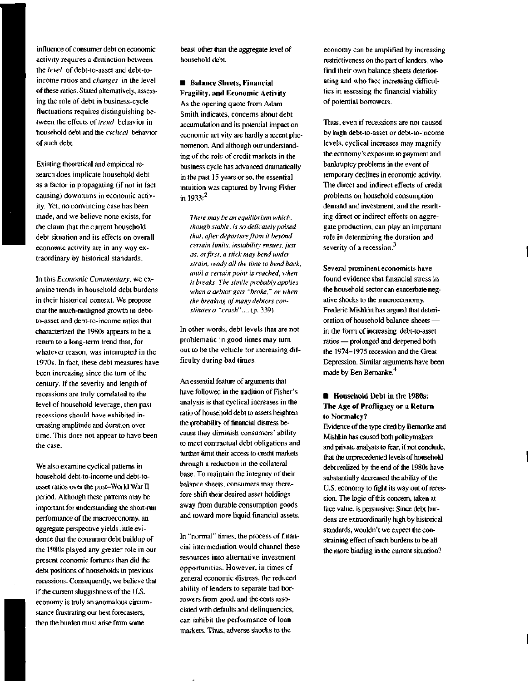influence of consumer debt on economic activity requires a distinction between the *level* of debt-to-asset and debt-toincome ratios and *changes* in the level of these ratios. Stated alternatively, assessing the role of debt in business-cycle fluctuations requires distinguishing between the effects of *trend* behavior in household debt and the *cyclical* behavior of such debt.

Existing theoretical and empirical research does implicate household debt as a factor in propagating (if not in fact causing) downturns in economic activity. Yet, no convincing case has been made, and we believe none exists, for the claim that the current household debt situation and its effects on overall economic activity are in any way extraordinary by historical standards.

In this *Economic Commentary,* we examine trends in household debt burdens in their historical context. We propose that the much-maligned growth in debtto-asset and debt-to-income ratios that characterized the 1980s appears to be a return to a long-term trend that, for whatever reason, was interrupted in the 1970s. In fact, these debt measures have been increasing since the turn of the century. If the severity and length of recessions are truly correlated to the level of household leverage, then past recessions should have exhibited increasing amplitude and duration over time. This does not appear to have been the case.

We also examine cyclical patterns in household debt-to-income and debt-toasset ratios over the post-World War II period. Although these patterns may be important for understanding the short-run performance of the macroeconomy, an aggregate perspective yields little evidence that the consumer debt buildup of the 1980s played any greater role in our present economic fortunes than did the debt positions of households in previous recessions. Consequently, we believe that if the current sluggishness of the U.S. economy is truly an anomalous circumstance frustrating our best forecasters, then the burden must arise from some

beast other than the aggregate level of household debt.

**• Balance Sheets, Financial Fragility, and Economic Activity** As the opening quote from Adam Smith indicates, concerns about debt accumulation and its potential impact on economic activity are hardly a recent phenomenon. And although our understanding of the role of credit markets in the business cycle has advanced dramatically in the past 15 years or so, the essential intuition was captured by Irving Fisher in  $1933:$ <sup>2</sup>

*There may be an equilibrium which, though stable, is so delicately poised that, after departure from it beyond certain limits, instability ensues, just as, at first, a stick may bend under strain, ready all the time to bend back, until a certain point is reached, when it breaks. The simile probably applies when a debtor gets "broke," or when the breaking of many debtors constitutes a "crash"....* (p. 339)

In other words, debt levels that are not problematic in good times may turn out to be the vehicle for increasing difficulty during bad times.

An essential feature of arguments that have followed in the tradition of Fisher's analysis is that cyclical increases in the ratio of household debt to assets heighten the probability of financial distress because they diminish consumers' ability to meet contractual debt obligations and further limit their access to credit markets through a reduction in the collateral base. To maintain the integrity of their balance sheets, consumers may therefore shift their desired asset holdings away from durable consumption goods and toward more liquid financial assets.

In "normal" times, the process of financial intermediation would channel these resources into alternative investment opportunities. However, in times of general economic distress, the reduced ability of lenders to separate bad borrowers from good, and the costs associated with defaults and delinquencies, can inhibit the performance of loan markets. Thus, adverse shocks to the

economy can be amplified by increasing restrictiveness on the part of lenders, who find their own balance sheets deteriorating and who face increasing difficulties in assessing the financial viability of potential borrowers.

Thus, even if recessions are not caused by high debt-to-asset or debt-to-income levels, cyclical increases may magnify the economy's exposure to payment and bankruptcy problems in the event of temporary declines in economic activity. The direct and indirect effects of credit problems on household consumption demand and investment, and the resulting direct or indirect effects on aggregate production, can play an important role in determining the duration and severity of a recession.<sup>3</sup>

Several prominent economists have found evidence that financial stress in the household sector can exacerbate negative shocks to the macroeconomy. Frederic Mishkin has argued that deterioration of household balance sheets in the form of increasing debt-to-asset ratios — prolonged and deepened both the 1974-1975 recession and the Great Depression. Similar arguments have been made by Ben Bernanke.<sup>4</sup>

## **• Household Debt in the 1980s: The Age of Profligacy or a Return to Normalcy?**

Evidence of the type cited by Bernanke and Mishkin has caused both policymakers and private analysts to fear, if not conclude, that the unprecedented levels of household debt realized by the end of the 1980s have substantially decreased the ability of the U.S. economy to fight its way out of recession. The logic of this concern, taken at face value, is persuasive: Since debt burdens are extraordinarily high by historical standards, wouldn't we expect the constraining effect of such burdens to be all the more binding in the current situation?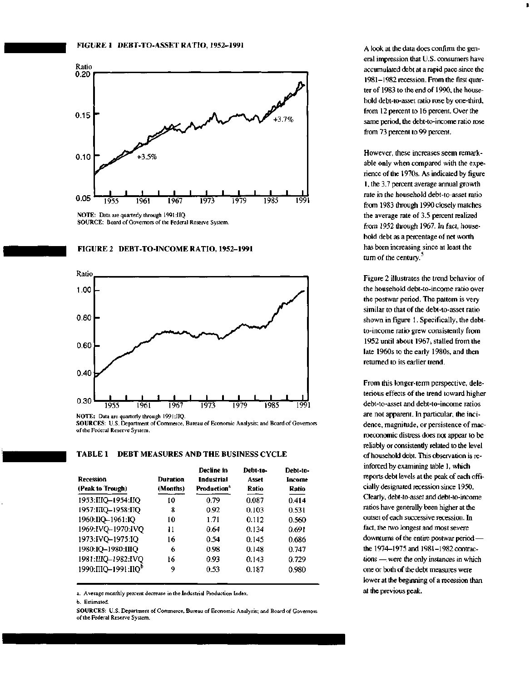



## FIGURE 2 DEBT-TO-INCOME RATIO, 1952-1991



**SOURCES:** U.S. Department of Commerce, Bureau of Economic Analysis; and Board of Governors of the Federal Reserve System.

| TABLE 1 | <b>DEBT MEASURES AND THE BUSINESS CYCLE</b> |  |  |
|---------|---------------------------------------------|--|--|
|         |                                             |  |  |

| <b>Recession</b><br>(Peak to Trough) | Duration<br>(Months) | Decline in<br><b>Industrial</b><br>Production <sup>a</sup> | Debt-to-<br>Asset<br>Ratio | Debt-to-<br>Income<br>Ratio |
|--------------------------------------|----------------------|------------------------------------------------------------|----------------------------|-----------------------------|
| 1953: IIIQ-1954: IIQ                 | 10                   | 0.79                                                       | 0.087                      | 0.414                       |
| 1957: IIIQ-1958: IIQ                 | 8                    | 0.92                                                       | 0.103                      | 0.531                       |
| 1960:IIQ-1961:IQ                     | 10                   | 1.71                                                       | 0.112                      | 0.560                       |
| 1969:IVQ-1970:IVQ                    | 11                   | 0.64                                                       | 0.134                      | 0.691                       |
| 1973:IVQ-1975:IQ                     | 16                   | 0.54                                                       | 0.145                      | 0.686                       |
| 1980:IQ-1980:IIIQ                    | 6                    | 0.98                                                       | 0.148                      | 0.747                       |
| 1981:IIIQ-1982:IVQ                   | 16                   | 0.93                                                       | 0.143                      | 0.729                       |
| 1990: IIIQ-1991: IIQ <sup>p</sup>    | 9                    | 0.53                                                       | 0.187                      | 0.980                       |

a. Average monthly percent decrease in the Industrial Production Index.

b. Estimated.

**SOURCES:** U.S. Department of Commerce, Bureau of Economic Analysis; and Board of Governors of the Federal Reserve System.

A look at the data does confirm the general impression that U.S. consumers have accumulated debt at a rapid pace since the 1981-1982 recession. From the first quarter of 1983 to the end of 1990, the household debt-to-asset ratio rose by one-third, from 12 percent to 16 percent. Over the same period, the debt-to-income ratio rose from 73 percent to 99 percent.

However, these increases seem remarkable only when compared with the experience of the 1970s. As indicated by figure 1, the 3.7 percent average annual growth rate in the household debt-to-asset ratio from 1983 through 1990 closely matches the average rate of 3.5 percent realized from 1952 through 1967. In fact, household debt as a percentage of net worth has been increasing since at least the turn of the century. $3$ 

Figure 2 illustrates the trend behavior of the household debt-to-income ratio over the postwar period. The pattern is very similar to that of the debt-to-asset ratio shown in figure 1. Specifically, the debtto-income ratio grew consistently from 1952 until about 1967, stalled from the late 1960s to the early 1980s, and then returned to its earlier trend.

From this longer-term perspective, deleterious effects of the trend toward higher debt-to-asset and debt-to-income ratios are not apparent. In particular, the incidence, magnitude, or persistence of macroeconomic distress does not appear to be reliably or consistently related to the level of household debt. This observation is reinforced by examining table 1, which reports debt levels at the peak of each officially designated recession since 1950. Clearly, debt-to-asset and debt-to-income ratios have generally been higher at the outset of each successive recession. In fact, the two longest and most severe downturns of the entire postwar period the 1974-1975 and 1981-1982 contractions — were the only instances in which one or both of the debt measures were lower at the beginning of a recession than at the previous peak.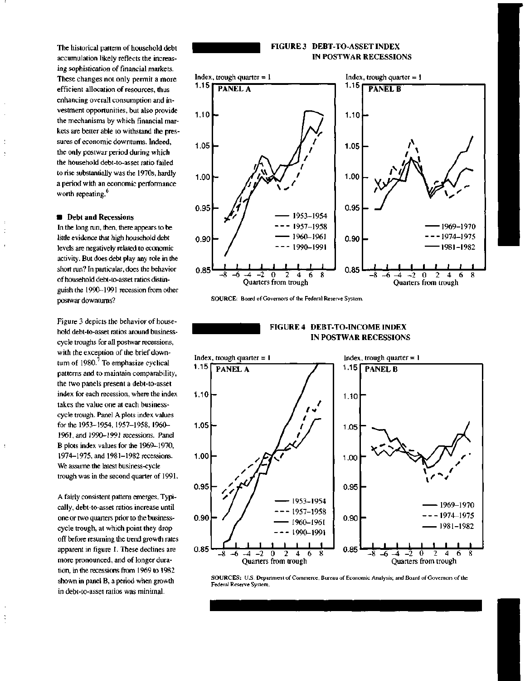The historical pattern of household debt accumulation likely reflects the increasing sophistication of financial markets. These changes not only permit a more efficient allocation of resources, thus enhancing overall consumption and investment opportunities, but also provide the mechanisms by which financial markets are better able to withstand the pressures of economic downturns. Indeed, the only postwar period during which the household debt-to-asset ratio failed to rise substantially was the 1970s, hardly a period with an economic performance worth repeating.<sup>6</sup>

#### **• Debt and Recessions**

÷

 $\ddot{.}$ 

In the long run, then, there appears to be little evidence that high household debt levels are negatively related to economic activity. But does debt play any role in the short run? In particular, does the behavior of household debt-to-asset ratios distinguish the 1990-1991 recession from other postwar downturns?

Figure 3 depicts the behavior of household debt-to-asset ratios around businesscycle troughs for all postwar recessions, with the exception of the brief downturn of 1980.<sup>7</sup> To emphasize cyclical patterns and to maintain comparability, the two panels present a debt-to-asset index for each recession, where the index takes the value one at each businesscycle trough. Panel A plots index values for the 1953-1954,1957-1958, 1960- 1961, and 1990-1991 recessions. Panel B plots index values for the 1969-1970, 1974-1975, and 1981-1982 recessions. We assume the latest business-cycle trough was in the second quarter of 1991.

A fairly consistent pattern emerges. Typically, debt-to-asset ratios increase until one or two quarters prior to the businesscycle trough, at which point they drop off before resuming the trend growth rates apparent in figure 1. These declines are more pronounced, and of longer duration, in the recessions from 1969 to 1982 shown in panel B, a period when growth in debt-to-asset ratios was minimal.

## **FIGURE 3 DEBT-TO-ASSET INDEX IN POSTWAR RECESSIONS**



**SOURCE:** Board of Governors of the Federal Reserve System.

**FIGURE 4 DEBT-TO-INCOME INDEX IN POSTWAR RECESSIONS**



**SOURCES:** U.S. Department of Commerce, Bureau of Economic Analysis; and Board of Govemors of the Federal Reserve System.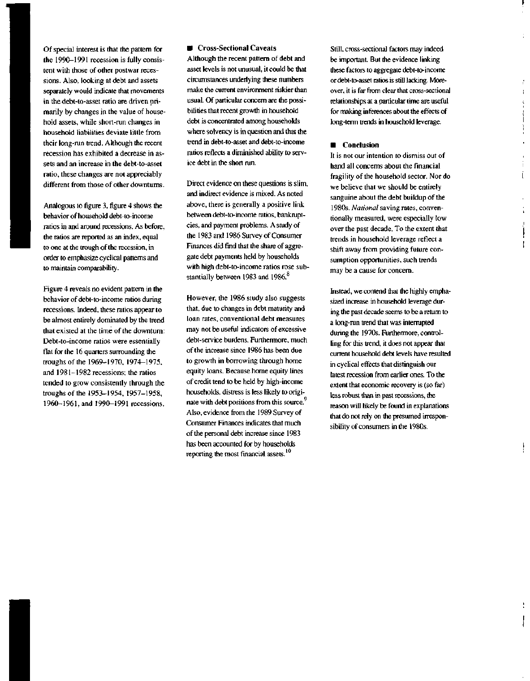Of special interest is that the pattern for the 1990-1991 recession is fully consistent with those of other postwar recessions. Also, looking at debt and assets separately would indicate that movements in the debt-to-asset ratio are driven primarily by changes in the value of household assets, while short-run changes in household liabilities deviate little from their long-run trend. Although the recent recession has exhibited a decrease in assets and an increase in the debt-to-asset ratio, these changes are not appreciably different from those of other downturns.

Analogous to figure 3, figure 4 shows the behavior of household debt-to-income ratios in and around recessions. As before, the ratios are reported as an index, equal to one at the trough of the recession, in order to emphasize cyclical patterns and to maintain comparability.

Figure 4 reveals no evident pattern in the behavior of debt-to-income ratios during recessions. Indeed, these ratios appear to be almost entirely dominated by the trend that existed at the time of the downturn: Debt-to-income ratios were essentially flat for the 16 quarters surrounding the troughs of the 1969-1970, 1974-1975, and 1981-1982 recessions; the ratios tended to grow consistently through the troughs of the 1953-1954, 1957-1958, 1960-1961, and 1990-1991 recessions.

### **• Cross-Sectional Caveats**

Although the recent pattern of debt and asset levels is not unusual, it could be that circumstances underlying these numbers make the current environment riskier than usual. Of particular concern are the possibilities that recent growth in household debt is concentrated among households where solvency is in question and that the trend in debt-to-asset and debt-to-income ratios reflects a diminished ability to service debt in the short run.

Direct evidence on these questions is slim, and indirect evidence is mixed. As noted above, there is generally a positive link between debt-to-income ratios, bankruptcies, and payment problems. A study of the 1983 and 1986 Survey of Consumer Finances did find that the share of aggregate debt payments held by households with high debt-to-income ratios rose substantially between 1983 and 1986.<sup>8</sup>

However, the 1986 study also suggests that, due to changes in debt maturity and loan rates, conventional debt measures may not be useful indicators of excessive debt-service burdens. Furthermore, much of the increase since 1986 has been due to growth in borrowing through home equity loans. Because home equity lines of credit tend to be held by high-income households, distress is less likely to originate with debt positions from this source.<sup>9</sup> Also, evidence from the 1989 Survey of Consumer Finances indicates that much of the personal debt increase since 1983 has been accounted for by households reporting the most financial assets.<sup>10</sup>

Still, cross-sectional factors may indeed be important. But the evidence linking these factors to aggregate debt-to-income or debt-to-asset ratios is still lacking. Moreover, it is far from clear that cross-sectional relationships at a particular time are useful for making inferences about the effects of long-term trends in household leverage.

 $\mathbf{r}$ ķ

> ļ  $\overline{a}$

Ĺ

#### **• Conclusion**

It is not our intention to dismiss out of hand all concerns about the financial fragility of the household sector. Nor do we believe that we should be entirely sanguine about the debt buildup of the 1980s. *National* saving rates, conventionally measured, were especially low over the past decade. To the extent that trends in household leverage reflect a shift away from providing future consumption opportunities, such trends may be a cause for concern.

Instead, we contend that the highly emphasized increase in household leverage during the past decade seems to be a return to a long-run trend that was interrupted during the 1970s. Furthermore, controlling for this trend, it does not appear that current household debt levels have resulted in cyclical effects that distinguish our latest recession from earlier ones. To the extent that economic recovery is (so far) less robust than in past recessions, the reason will likely be found in explanations that do not rely on the presumed irresponsibility of consumers in the 1980s.